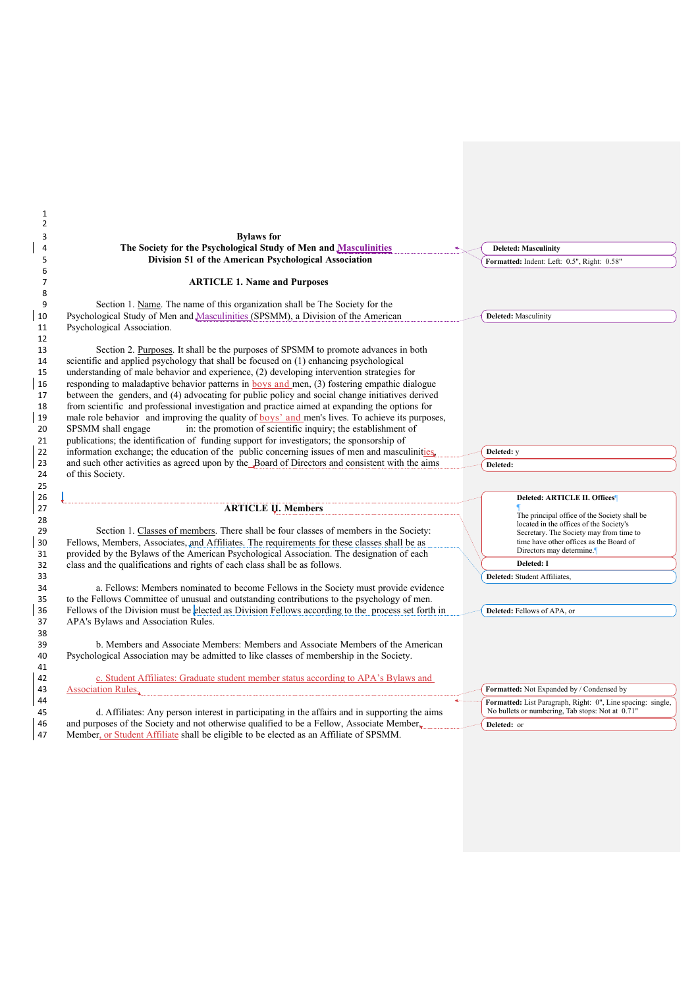| 1                                                                                                                                                                                                     |                                                                                         |
|-------------------------------------------------------------------------------------------------------------------------------------------------------------------------------------------------------|-----------------------------------------------------------------------------------------|
| $\overline{2}$                                                                                                                                                                                        |                                                                                         |
| <b>Bylaws</b> for<br>3<br>The Society for the Psychological Study of Men and Masculinities<br>4                                                                                                       |                                                                                         |
|                                                                                                                                                                                                       | <b>Deleted: Masculinity</b>                                                             |
| Division 51 of the American Psychological Association<br>5                                                                                                                                            | Formatted: Indent: Left: 0.5", Right: 0.58"                                             |
| 6<br>$\overline{7}$                                                                                                                                                                                   |                                                                                         |
| <b>ARTICLE 1. Name and Purposes</b><br>8                                                                                                                                                              |                                                                                         |
| Section 1. Name. The name of this organization shall be The Society for the<br>9                                                                                                                      |                                                                                         |
| Psychological Study of Men and Masculinities (SPSMM), a Division of the American<br>10                                                                                                                | <b>Deleted:</b> Masculinity                                                             |
| Psychological Association.<br>11                                                                                                                                                                      |                                                                                         |
| 12                                                                                                                                                                                                    |                                                                                         |
| Section 2. Purposes. It shall be the purposes of SPSMM to promote advances in both<br>13                                                                                                              |                                                                                         |
| scientific and applied psychology that shall be focused on (1) enhancing psychological<br>14                                                                                                          |                                                                                         |
| understanding of male behavior and experience, (2) developing intervention strategies for<br>15                                                                                                       |                                                                                         |
| responding to maladaptive behavior patterns in $\frac{1}{2}$ boys and men, (3) fostering empathic dialogue<br>16                                                                                      |                                                                                         |
| between the genders, and (4) advocating for public policy and social change initiatives derived<br>17                                                                                                 |                                                                                         |
| from scientific and professional investigation and practice aimed at expanding the options for<br>18                                                                                                  |                                                                                         |
| male role behavior and improving the quality of boys' and men's lives. To achieve its purposes,<br>19                                                                                                 |                                                                                         |
| in: the promotion of scientific inquiry; the establishment of<br>20<br>SPSMM shall engage                                                                                                             |                                                                                         |
| publications; the identification of funding support for investigators; the sponsorship of<br>21                                                                                                       |                                                                                         |
| information exchange; the education of the public concerning issues of men and masculinities,<br>22                                                                                                   | Deleted: y                                                                              |
| and such other activities as agreed upon by the Board of Directors and consistent with the aims<br>23                                                                                                 | Deleted:                                                                                |
| 24<br>of this Society.                                                                                                                                                                                |                                                                                         |
| 25                                                                                                                                                                                                    |                                                                                         |
| 26                                                                                                                                                                                                    | Deleted: ARTICLE II. Offices                                                            |
| 27<br><b>ARTICLE U. Members</b>                                                                                                                                                                       |                                                                                         |
| 28                                                                                                                                                                                                    | The principal office of the Society shall be<br>located in the offices of the Society's |
| Section 1. Classes of members. There shall be four classes of members in the Society:<br>29                                                                                                           | Secretary. The Society may from time to                                                 |
| Fellows, Members, Associates, and Affiliates. The requirements for these classes shall be as<br>30                                                                                                    | time have other offices as the Board of                                                 |
| provided by the Bylaws of the American Psychological Association. The designation of each<br>31                                                                                                       | Directors may determine.                                                                |
| class and the qualifications and rights of each class shall be as follows.<br>32                                                                                                                      | Deleted: I                                                                              |
| 33                                                                                                                                                                                                    | Deleted: Student Affiliates,                                                            |
| a. Fellows: Members nominated to become Fellows in the Society must provide evidence<br>34                                                                                                            |                                                                                         |
| to the Fellows Committee of unusual and outstanding contributions to the psychology of men.<br>35                                                                                                     |                                                                                         |
| Fellows of the Division must be elected as Division Fellows according to the process set forth in<br>36                                                                                               | Deleted: Fellows of APA, or                                                             |
| APA's Bylaws and Association Rules.<br>37                                                                                                                                                             |                                                                                         |
| 38                                                                                                                                                                                                    |                                                                                         |
| b. Members and Associate Members: Members and Associate Members of the American<br>39                                                                                                                 |                                                                                         |
| Psychological Association may be admitted to like classes of membership in the Society.<br>40                                                                                                         |                                                                                         |
| 41                                                                                                                                                                                                    |                                                                                         |
| c. Student Affiliates: Graduate student member status according to APA's Bylaws and<br>42                                                                                                             |                                                                                         |
| <b>Association Rules</b> ,<br>43                                                                                                                                                                      | Formatted: Not Expanded by / Condensed by                                               |
| 44                                                                                                                                                                                                    | Formatted: List Paragraph, Right: 0", Line spacing: single,                             |
| d. Affiliates: Any person interest in participating in the affairs and in supporting the aims                                                                                                         | No bullets or numbering, Tab stops: Not at 0.71"                                        |
|                                                                                                                                                                                                       | Deleted: or                                                                             |
| 45<br>and purposes of the Society and not otherwise qualified to be a Fellow, Associate Member,<br>46<br>Member, or Student Affiliate shall be eligible to be elected as an Affiliate of SPSMM.<br>47 |                                                                                         |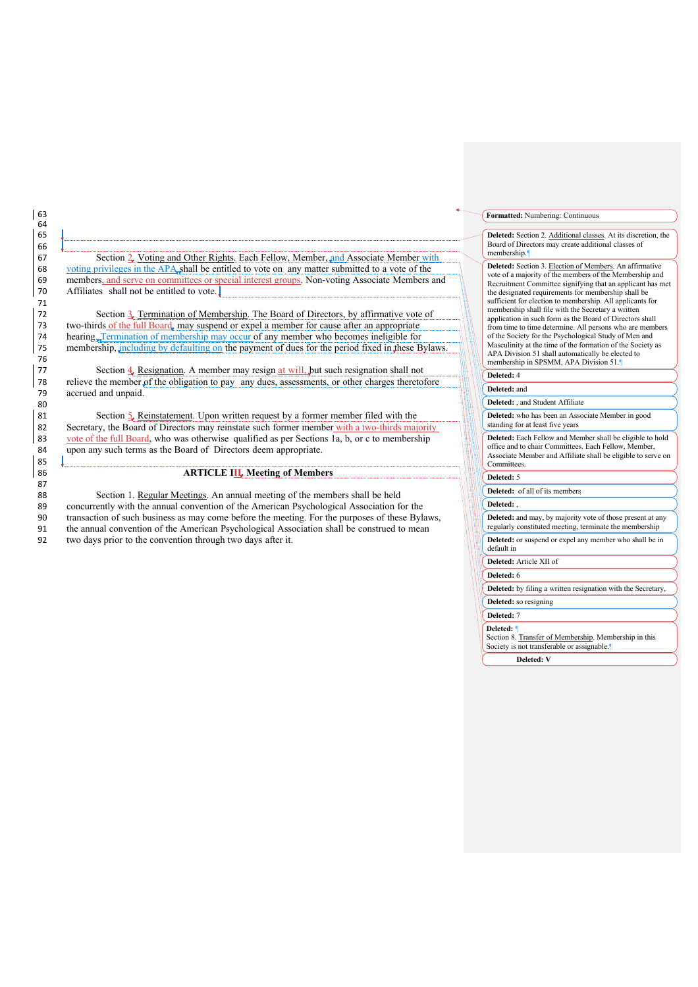67 Section 2. Voting and Other Rights. Each Fellow, Member, and Associate Member with 68 voting privileges in the APA shall be entitled to vote on any matter submitted to a vote of the 69 members, and serve on committees or special interest groups. Non-voting Associate Members and Affiliates shall not be entitled to vote. Affiliates shall not be entitled to vote.

72 Section  $\frac{3}{4}$  Termination of Membership. The Board of Directors, by affirmative vote of 73 two-thirds of the full Board, may suspend or expel a member for cause after an appropriate 73 two-thirds <u>of the full Board</u>, may suspend or expel a member for cause after an appropriate hearing Termination of membership may occur of any member who becomes ineligible for hearing<sub>. Termination of membership may occur of any member who becomes ineligible for</sub> 75 membership, including by defaulting on the payment of dues for the period fixed in these Bylaws.

77 Section  $\frac{4}{5}$ , Resignation. A member may resign at will, but such resignation shall not relieve the member of the obligation to pay any dues, assessments, or other charges thereto relieve the member of the obligation to pay any dues, assessments, or other charges theretofore 79 accrued and unpaid.

Section  $\frac{1}{2}$ , Reinstatement. Upon written request by a former member filed with the 82 Secretary, the Board of Directors may reinstate such former member with a two-thirds majority<br>83 vote of the full Board, who was otherwise qualified as per Sections 1a, b, or c to membership vote of the full Board, who was otherwise qualified as per Sections 1a, b, or c to membership 84 upon any such terms as the Board of Directors deem appropriate.

## 86 **ARTICLE III. Meeting of Members**

88 Section 1. Regular Meetings. An annual meeting of the members shall be held 89 concurrently with the annual convention of the American Psychological Association for the transaction of such business as may come before the meeting. For the nurnoses of these Byl transaction of such business as may come before the meeting. For the purposes of these Bylaws, 91 the annual convention of the American Psychological Association shall be construed to mean 92 two days prior to the convention through two days after it.

## **Formatted:** Numbering: Continuous

Deleted: Section 2. Additional classes. At its discretion, the Board of Directors may create additional classes of membership.

Deleted: Section 3. Election of Members. An affirmative vote of a majority of the members of the Membership and Recruitment Committee signifying that an applicant has met the designated requirements for membership shall be sufficient for election to membership. All applicants for membership shall file with the Secretary a written application in such form as the Board of Directors shall from time to time determine. All persons who are members 104 of the Society for the Psychological Study of Men and<br>Masculinity at the time of the formation of the Society as APA Division 51 shall automatically be elected to membership in SPSMM, APA Division 51.

## **Deleted: 4**

109 **Deleted:** and

Deleted: , and Student Affiliate

**Deleted:** of all of its members

**Deleted:** who has been an Associate Member in good standing for at least five years

Deleted: Each Fellow and Member shall be eligible to hold office and to chair Committees. Each Fellow, Membe Associate Member and Affiliate shall be eligible to serve on Committees

## **Deleted:** 5

Deleted: Deleted: and may, by majority vote of those present at any

regularly constituted meeting, terminate the membership

Deleted: or suspend or expel any member who shall be in default in

124 **Deleted:** Article XII of

125 **Deleted:** 6

Deleted: by filing a written resignation with the Secretary,

Deleted: so resigning

# 128 **Deleted:** 7

129 **Deleted:** ¶

Section 8. Transfer of Membership. Membership in this Society is not transferable or assignable.

Deleted: V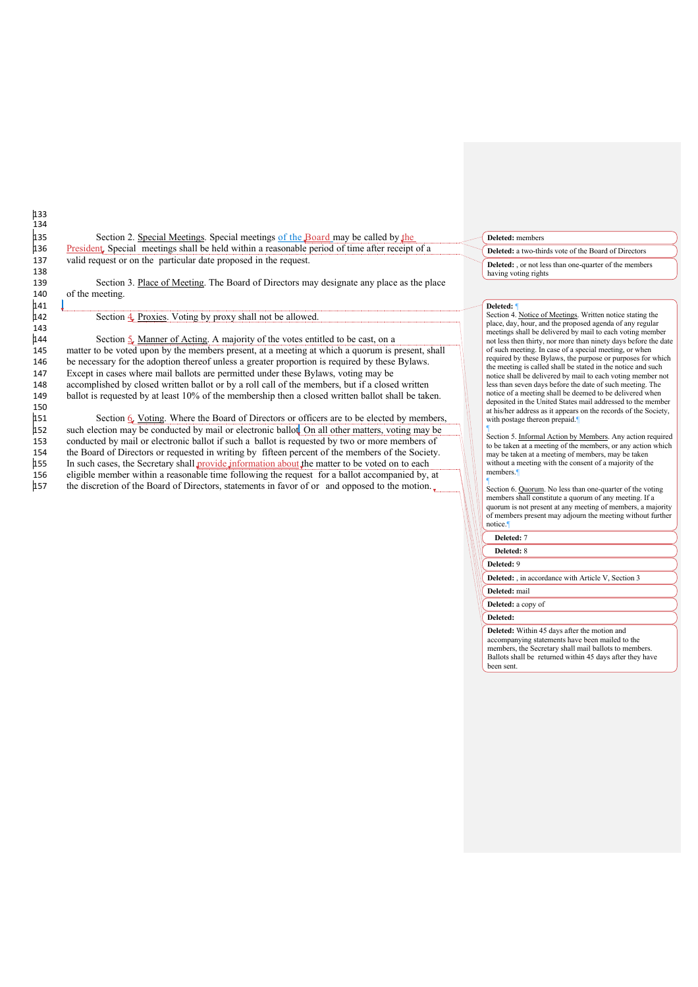135 Section 2. Special Meetings. Special meetings of the Board may be called by the 136 President. Special meetings shall be held within a reasonable period of time after receipt of a 137 valid request or on the particular date proposed in the request.

139 Section 3. Place of Meeting. The Board of Directors may designate any place as the place 140 of the meeting.

## Section 4. Proxies. Voting by proxy shall not be allowed.

133 134

138

141<br>142

143<br>144 Section  $5.$  Manner of Acting. A majority of the votes entitled to be cast, on a 145 matter to be voted upon by the members present, at a meeting at which a quorum is present, shall 146 be necessary for the adoption thereof unless a greater proportion is required by these Bylaws. 147 Except in cases where mail ballots are permitted under these Bylaws, voting may be 148 accomplished by closed written ballot or by a roll call of the members, but if a closed written<br>149 ballot is requested by at least 10% of the membership then a closed written ballot shall be take ballot is requested by at least 10% of the membership then a closed written ballot shall be taken.

150<br>151 Section  $6.$  Voting. Where the Board of Directors or officers are to be elected by members, 152 such election may be conducted by mail or electronic ballot. On all other matters, voting may be conducted by mail or electronic ballot if such a ballot is requested by two or more members of conducted by mail or electronic ballot if such a ballot is requested by two or more members of 154 the Board of Directors or requested in writing by fifteen percent of the members of the Society. 155 In such cases, the Secretary shall provide information about the matter to be voted on to each<br>156 eligible member within a reasonable time following the request for a ballot accompanied by. 156 eligible member within a reasonable time following the request for a ballot accompanied by, at the discretion of the Board of Directors, statements in favor of or and opposed to the motion. the discretion of the Board of Directors, statements in favor of or and opposed to the motion.

## 158 **Deleted:** members

159 **Deleted:** a two-thirds vote of the Board of Directors **Deleted:** . or not less than one-quarter of the members having voting rights

### $Deleted:$

Section 4. Notice of Meetings. Written notice stating the place, day, hour, and the proposed agenda of any regular meetings shall be delivered by mail to each voting member not less then thirty, nor more than ninety days before the date of such meeting. In case of a special meeting, or when required by these Bylaws, the purpose or purposes for which the meeting is called shall be stated in the notice and such notice shall be delivered by mail to each voting member not less than seven days before the date of such meeting. The notice of a meeting shall be deemed to be delivered when<br>deposited in the United States mail addressed to the member at his/her address as it appears on the records of the Society, with postage thereon prepaid.

Section 5. Informal Action by Members. Any action required to be taken at a meeting of the members, or any action which n a matrice of members, may be taken at a meeting of members, may be taken without a meeting with the consent of a majority of the members<sup>®</sup>  $18111$ 

Section 6. Quorum. No less than one-quarter of the voting **184 members shall constitute a quorum of any meeting. If a**<br>185 quorum is not present at any meeting of members, a majority 186 of members present may adjourn the meeting without further notice.

## Deleted: 7

176 ¶

Deleted: 8 190 **Deleted:** 9 **Deleted:** in accordance with Article V, Section 3 Deleted: mail

# **Deleted:** a copy of

## Deleted:

Deleted: Within 45 days after the motion and accompanying statements have been mailed to the members, the Secretary shall mail ballots to members. Ballots shall be returned within 45 days after they have been sent.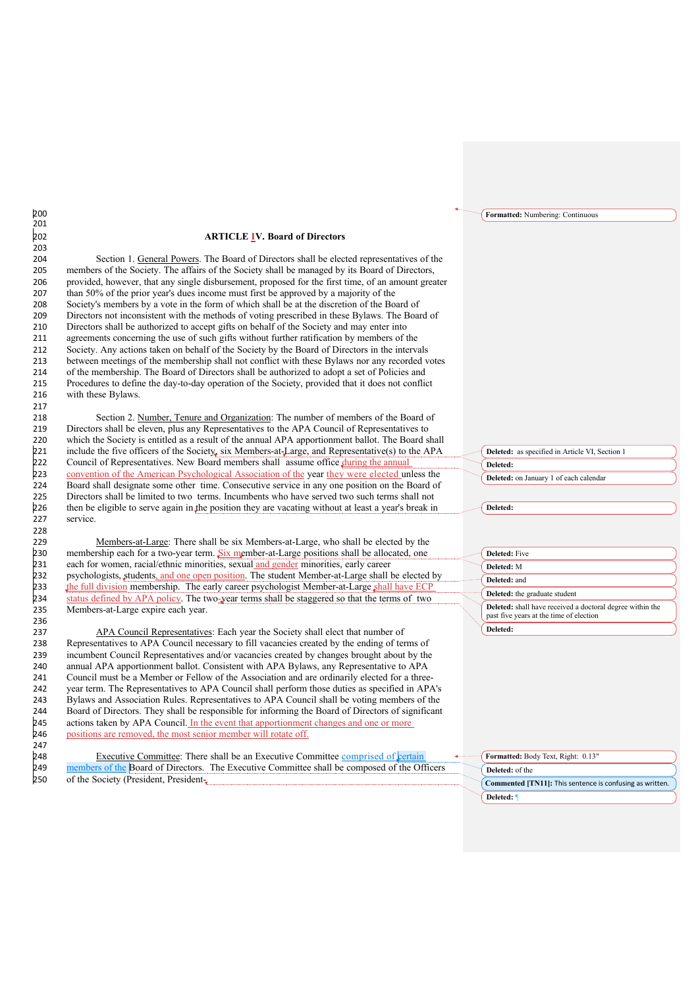# 202 **ARTICLE IV. Board of Directors**

204 Section 1. General Powers. The Board of Directors shall be elected representatives of the members of the Society. The affairs of the Society shall be managed by its Board of Directors, provided, however, that any single disbursement, proposed for the first time, of an amount greater than 50% of the prior year's dues income must first be approved by a majority of the 208 Society's members by a vote in the form of which shall be at the discretion of the Board of 209 Directors not inconsistent with the methods of voting prescribed in these Bylaws. The Board Directors not inconsistent with the methods of voting prescribed in these Bylaws. The Board of Directors shall be authorized to accept gifts on behalf of the Society and may enter into agreements concerning the use of such gifts without further ratification by members of the Society. Any actions taken on behalf of the Society by the Board of Directors in the intervals between meetings of the membership shall not conflict with these Bylaws nor any recorded votes of the membership. The Board of Directors shall be authorized to adopt a set of Policies and Procedures to define the day-to-day operation of the Society, provided that it does not conflict with these Bylaws.

218 Section 2. <u>Number, Tenure and Organization</u>: The number of members of the Board of 219 Directors shall be eleven, plus any Representatives to the APA Council of Representatives to Directors shall be eleven, plus any Representatives to the APA Council of Representatives to 220 which the Society is entitled as a result of the annual APA apportionment ballot. The Board shall 221 include the five officers of the Society, six Members-at-Large, and Representative(s) to the APA 222 Council of Representatives. New Board members shall assume office *during the annual*<br>223 convention of the American Psychological Association of the year they were elected ur convention of the American Psychological Association of the year they were elected unless the 224 Board shall designate some other time. Consecutive service in any one position on the Board of 225 Directors shall be limited to two terms. Incumbents who have served two such terms shall not 225 Directors shall be limited to two terms. Incumbents who have served two such terms shall not 226 then be eligible to serve again in the position they are vacating without at least a year's break in then be eligible to serve again in the position they are vacating without at least a year's break in 227 service.

229 Members-at-Large: There shall be six Members-at-Large, who shall be elected by the 230 membership each for a two-year term. Six member-at-Large positions shall be allocated, one<br>231 each for women, racial/ethnic minorities, sexual and gender minorities, early career 231 each for women, racial/ethnic minorities, sexual and gender minorities, early career<br>232 psychologists, students, and one open position. The student Member-at-Large shall 232 psychologists, students, and one open position. The student Member-at-Large shall be elected by<br>233 the full division membership. The early career psychologist Member-at-Large shall have ECP 233 the full division membership. The early career psychologist Member-at-Large shall have ECF<br>234 status defined by APA policy. The two-year terms shall be staggered so that the terms of two 234 status defined by APA policy. The two-year terms shall be staggered so that the terms of two<br>235 Members-at-Large expire each year. Members-at-Large expire each year.

237 APA Council Representatives: Each year the Society shall elect that number of 238 Representatives to APA Council necessary to fill vacancies created by the ending of terms of 239 incumbent Council Representatives and/or vacancies created by changes brought about by the 240 annual APA apportionment ballot. Consistent with APA Bylaws, any Representative to APA 241 Council must be a Member or Fellow of the Association and are ordinarily elected for a three-242 year term. The Representatives to APA Council shall perform those duties as specified in APA's 243 Bylaws and Association Rules. Representatives to APA Council shall be voting members of the 244 Board of Directors. They shall be responsible for informing the Board of Directors of significant 244 Board of Directors. They shall be responsible for informing the Board of Directors of significant 245 actions taken by APA Council. In the event that apportionment changes and one or more 245 actions taken by APA Council. <u>In the event that apportionment changes and one or more</u><br>246 positions are removed, the most senior member will rotate off. positions are removed, the most senior member will rotate off.

248 Executive Committee: There shall be an Executive Committee comprised of certain  $249$  members of the Board of Directors. The Executive Committee shall be composed of the Of members of the Board of Directors. The Executive Committee shall be composed of the Officers 250 of the Society (President, President251 **Deleted:** as specified in Article VI, Section 1 252 **Deleted:**  253 **Deleted:** on January 1 of each calendar

**Formatted:** Numbering: Continuous

Deleted:

| Deleted: Five                                                                                               |
|-------------------------------------------------------------------------------------------------------------|
| Deleted: M                                                                                                  |
| Deleted: and                                                                                                |
| Deleted: the graduate student                                                                               |
| <b>Deleted:</b> shall have received a doctoral degree within the<br>past five years at the time of election |
| Deleted:                                                                                                    |

| Formatted: Body Text, Right: 0.13"                       |  |
|----------------------------------------------------------|--|
| <b>Deleted:</b> of the                                   |  |
| Commented [TN11]: This sentence is confusing as written. |  |
| Deleted: 1                                               |  |

# 200 201 203 217 228 236 247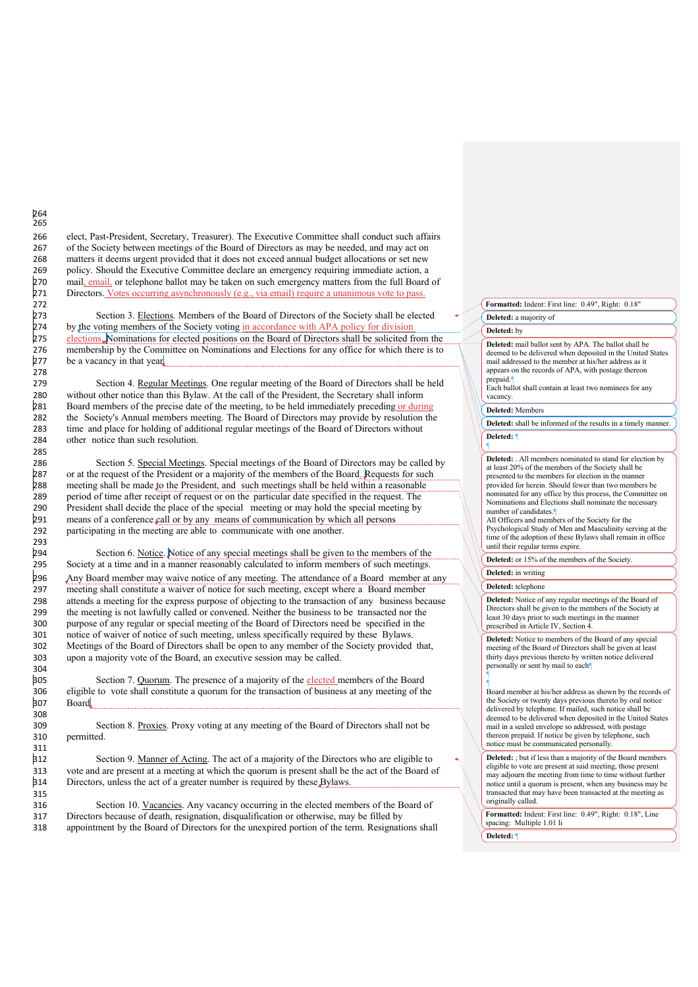266 elect, Past-President, Secretary, Treasurer). The Executive Committee shall conduct such affairs 267 of the Society between meetings of the Board of Directors as may be needed, and may act on 268 matters it deems urgent provided that it does not exceed annual budget allocations or set new 269 policy. Should the Executive Committee declare an emergency requiring immediate action, a 270 mail, email, or telephone ballot may be taken on such emergency matters from the full Board 270 mail, email, or telephone ballot may be taken on such emergency matters from the full Board of 271 Directors. Votes occurring asynchronously (e.g., via email) require a unanimous vote to pass. Directors. Votes occurring asynchronously (e.g., via email) require a unanimous vote to pass.

273 Section 3. <u>Elections</u>. Members of the Board of Directors of the Society shall be elected<br>274 by the voting members of the Society voting in accordance with APA policy for division 274 by the voting members of the Society voting in accordance with APA policy for division 275 elections, Nominations for elected positions on the Board of Directors shall be solicited from 275 elections. Nominations for elected positions on the Board of Directors shall be solicited from the new office for which there is to all be solicited from the Committee on Nominations and Elections for any office for wh 276 membership by the Committee on Nominations and Elections for any office for which there is to 277 be a vacancy in that year. be a vacancy in that year.

279 Section 4. Regular Meetings. One regular meeting of the Board of Directors shall be held 280 without other notice than this Bylaw. At the call of the President, the Secretary shall inform<br>281 Board members of the precise date of the meeting, to be held immediately preceding or duri-Board members of the precise date of the meeting, to be held immediately preceding or during 282 the Society's Annual members meeting. The Board of Directors may provide by resolution the 283 time and place for holding of additional regular meetings of the Board of Directors without time and place for holding of additional regular meetings of the Board of Directors without 284 other notice than such resolution.

286 Section 5. Special Meetings. Special meetings of the Board of Directors may be called by<br>287 or at the request of the President or a majority of the members of the Board. Requests for such 287 or at the request of the President or a majority of the members of the Board. Requests for such 288 meeting shall be made to the President, and such meetings shall be held within a reasonable meeting shall be made to the President, and such meetings shall be held within a reasonable 289 period of time after receipt of request or on the particular date specified in the request. The 290 President shall decide the place of the special meeting or may hold the special meeting by President shall decide the place of the special meeting or may hold the special meeting by 291 means of a conference call or by any means of communication by which all persons<br>292 participating in the meeting are able to communicate with one another. participating in the meeting are able to communicate with one another.

Section 6. Notice. Notice of any special meetings shall be given to the members of the 295 Society at a time and in a manner reasonably calculated to inform members of such meetings. 296 Any Board member may waive notice of any meeting. The attendance of a Board member at any<br>297 meeting shall constitute a waiver of notice for such meeting, except where a Board member meeting shall constitute a waiver of notice for such meeting, except where a Board member 298 attends a meeting for the express purpose of objecting to the transaction of any business because 299 the meeting is not lawfully called or convened. Neither the business to be transacted nor the 300 purpose of any regular or special meeting of the Board of Directors need be specified in the 301 notice of waiver of notice of such meeting, unless specifically required by these Bylaws.<br>302 Meetings of the Board of Directors shall be onen to any member of the Society provided Meetings of the Board of Directors shall be open to any member of the Society provided that, 303 upon a majority vote of the Board, an executive session may be called.

305 Section 7. Quorum. The presence of a majority of the elected members of the Board 306 eligible to vote shall constitute a quorum for the transaction of business at any meeting of the Board.

309 Section 8. Proxies. Proxy voting at any meeting of the Board of Directors shall not be permitted.

312 Section 9. Manner of Acting. The act of a majority of the Directors who are eligible to 313 vote and are present at a meeting at which the quorum is present shall be the act of the Board of 314 Directors, unless the act of a greater number is required by these Bylaws. Directors, unless the act of a greater number is required by these Bylaws.

316 Section 10. Vacancies. Any vacancy occurring in the elected members of the Board of 317 Directors because of death, resignation, disqualification or otherwise, may be filled by 318 appointment by the Board of Directors for the unexpired portion of the term. Resignations shall **Formatted:** Indent: First line: 0.49", Right: 0.18"

**Deleted:** a majority of

## Deleted: by

Deleted: mail ballot sent by APA. The ballot shall be deemed to be delivered when deposited in the United States mail addressed to the member at his/her address as it appears on the records of APA, with postage thereon

**326 prepaid.**<br>326 Each ballot shall contain at least two nominees for any vacancy

## 328 **Deleted:** Members

Deleted: shall be informed of the results in a timely manner. 330 **Deleted:** ¶

 $331$ 

**Deleted:** . All members nominated to stand for election by at least 20% of the members of the Society shall be presented to the members for election in the manner provided for herein. Should fewer than two members be nominated for any office by this process, the Committee on Nominations and Elections shall nominate the necessary number of candidates.

All Officers and members of the Society for the Psychological Study of Men and Masculinity serving at the time of the adoption of these Bylaws shall remain in office until their regular terms expire.

Deleted: or 15% of the members of the Society.

## **Deleted:** in writing

## **Deleted:** telephone

**Deleted:** Notice of any regular meetings of the Board of Directors shall be given to the members of the Society at least 30 days prior to such meetings in the manner prescribed in Article IV, Section 4.

**Deleted:** Notice to members of the Board of any special meeting of the Board of Directors shall be given at least thirty days previous thereto by written notice delivered personally or sent by mail to each 354 ¶

355 ¶ Board member at his/her address as shown by the records of the Society or twenty days previous thereto by oral notice delivered by telephone. If mailed, such notice shall be deemed to be delivered when deposited in the United States mail in a sealed envelope so addressed, with postage thereon prepaid. If notice be given by telephone, such notice must be communicated personally.

> **Deleted:** ; but if less than a majority of the Board members eligible to vote are present at said meeting, those present may adjourn the meeting from time to time without further notice until a quorum is present, when any business may be transacted that may have been transacted at the meeting as originally called.

**Formatted:** Indent: First line: 0.49", Right: 0.18", Line spacing: Multiple 1.01 li 369 **Deleted:** ¶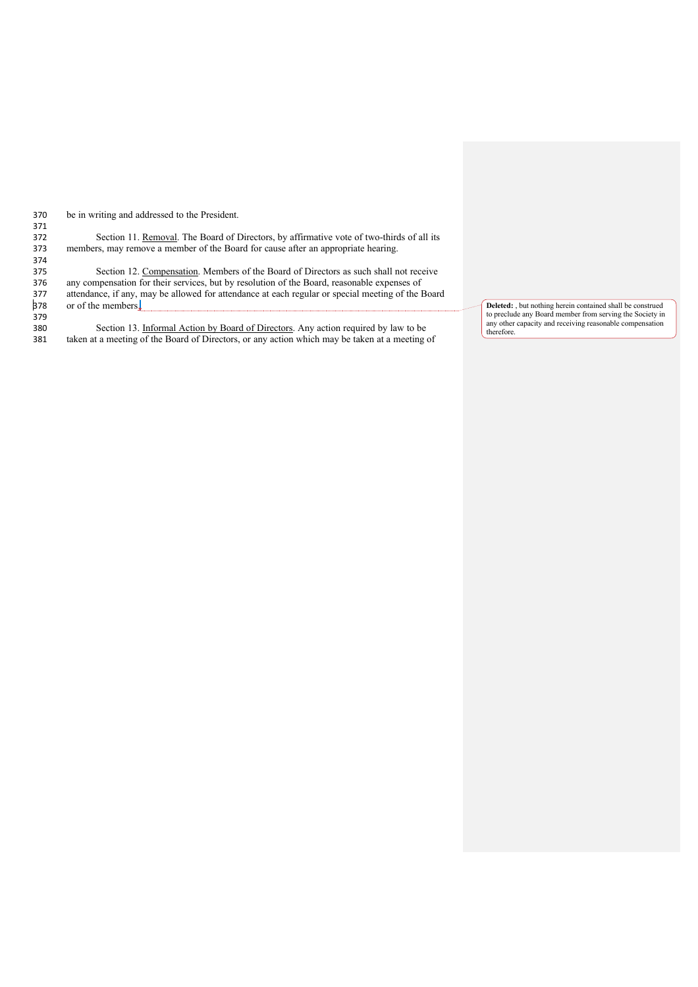| 370 | be in writing and addressed to the President. |
|-----|-----------------------------------------------|
| 371 |                                               |
| 372 | Section 11. Removal. The Board of I           |

372 Section 11. <u>Removal</u>. The Board of Directors, by affirmative vote of two-thirds of all its members, may remove a member of the Board for cause after an appropriate hearing. members, may remove a member of the Board for cause after an appropriate hearing.

374<br>375 Section 12. Compensation. Members of the Board of Directors as such shall not receive 376 any compensation for their services, but by resolution of the Board, reasonable expenses of 377 attendance, if any, may be allowed for attendance at each regular or special meeting of the E 377 attendance, if any, may be allowed for attendance at each regular or special meeting of the Board<br>378 or of the members. or of the members.

379<br>380 380 Section 13. Informal Action by Board of Directors. Any action required by law to be 381 taken at a meeting of the Board of Directors, or any action which may be taken at a meeting of taken at a meeting of the Board of Directors, or any action which may be taken at a meeting of

Deleted: , but nothing herein contained shall be construed to preclude any Board member from serving the Society in<br>any other capacity and receiving reasonable compensation<br>therefore.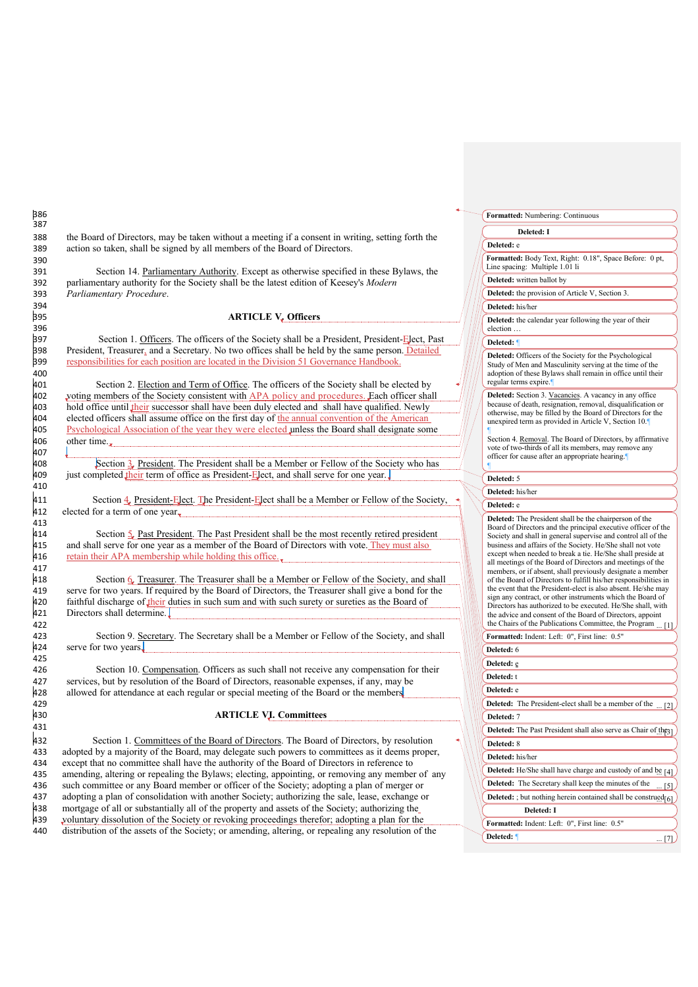388 the Board of Directors, may be taken without a meeting if a consent in writing, setting forth the 389 action so taken, shall be signed by all members of the Board of Directors.

391 Section 14. Parliamentary Authority. Except as otherwise specified in these Bylaws, the 392 parliamentary authority for the Society shall be the latest edition of Keesey's *Modern* 393 *Parliamentary Procedure*.

## 395 **ARTICLE V. Officers**

397 Section 1. Officers. The officers of the Society shall be a President, President-Elect, Past and a Secretary No two offices shall be held by the same person Detailed President, Treasurer, and a Secretary. No two offices shall be held by the same person. Detailed 399 responsibilities for each position are located in the Division 51 Governance Handbook.

401 Section 2. <u>Election and Term of Office</u>. The officers of the Society shall be elected by<br>402 voting members of the Society consistent with APA policy and procedures. Each officer shall voting members of the Society consistent with APA policy and procedures. Each officer shall 403 hold office until their successor shall have been duly elected and shall have qualified. Newly elected officers shall assume office on the first day of the annual convention of the American 404 elected officers shall assume office on the first day of <u>the annual convention of the American</u><br>405 Psychological Association of the year they were elected unless the Board shall designate son 405 Psychological Association of the year they were elected unless the Board shall designate some other time. other time..

408 Section 3. President. The President shall be a Member or Fellow of the Society who has<br>409 just completed their term of office as President-Elect, and shall serve for one year. just completed their term of office as President-Elect, and shall serve for one year.

411 Section 4. President-Elect. The President-Elect shall be a Member or Fellow of the Society, 412 elected for a term of one year.

414 Section  $\frac{5}{2}$  Past President. The Past President shall be the most recently retired president 415 and shall serve for one year as a member of the Board of Directors with vote. They must also 415 and shall serve for one year as a member of the Board of Directors with vote. They must also retain their APA membership while holding this office. retain their APA membership while holding this office...

Section 6. Treasurer. The Treasurer shall be a Member or Fellow of the Society, and shall 419 serve for two years. If required by the Board of Directors, the Treasurer shall give a bond for the  $\frac{1}{20}$  faithful discharge of their duties in such sum and with such surety or sureties as the Board of 420 faithful discharge of their duties in such sum and with such surety or sureties as the Board of 421 Directors shall determine. Directors shall determine.

Section 9. Secretary. The Secretary shall be a Member or Fellow of the Society, and shall 424 serve for two years.

426 Section 10. Compensation. Officers as such shall not receive any compensation for their 427 services, but by resolution of the Board of Directors, reasonable expenses, if any, may be 428 allowed for attendance at each regular or special meeting of the Board or the members allowed for attendance at each regular or special meeting of the Board or the members

## 430 **ARTICLE VI. Committees**

432 Section 1. Committees of the Board of Directors. The Board of Directors, by resolution<br>433 adopted by a majority of the Board, may delegate such nowers to committees as it deems proper adopted by a majority of the Board, may delegate such powers to committees as it deems proper, except that no committee shall have the authority of the Board of Directors in reference to amending, altering or repealing the Bylaws; electing, appointing, or removing any member of any such committee or any Board member or officer of the Society; adopting a plan of merger or adopting a plan of consolidation with another Society; authorizing the sale, lease, exchange or mortgage of all or substantially all of the property and assets of the Society; authorizing the voluntary dissolution of the Society or revoking proceedings therefor; adopting a plan for the distribution of the assets of the Society; or amending, altering, or repealing any resolution of the

**Formatted:** Numbering: Continuous

## 441 **Deleted: I**

442 **Deleted:** e

**Formatted:** Body Text, Right: 0.18", Space Before: 0 pt, Line spacing: Multiple 1.01 li

**Deleted:** written ballot by

**Deleted:** the provision of Article V, Section 3.

445 **Deleted:** his/her

**Deleted:** the calendar year following the year of their election ..

# 448 **Deleted:** ¶

**Deleted:** Officers of the Society for the Psychological 5111111 Find Study of Men and Masculinity serving at the time of the adoption of these Bylaws shall remain in office until their regular terms expire.

**Deleted:** Section 3. Vacancies. A vacancy in any office because of death, resignation, removal, disqualification or otherwise, may be filled by the Board of Directors for the unexpired term as provided in Article V, Section 10.  $M/$   $\blacksquare$ 

 $\frac{488}{100}$  Section 4. <u>Removal</u>. The Board of Directors, by affirmative vote of two-thirds of all its members, may remove any officer for cause after an appropriate hearing.  $\perp$   $\Box$ 

## Deleted: 5

463 **Deleted:** his/her

# 464 **Deleted:** e

**Deleted:** The President shall be the chairperson of the Board of Directors and the principal executive officer of the Society and shall in general supervise and control all of the business and affairs of the Society. He/She shall not vote except when needed to break a tie. He/She shall preside at FIFE CHER TO THE RETAILED THE CHER CHER PLASS OF THE RETAIL PROPERTY. members, or if absent, shall previously designate a member of the Board of Directors to fulfill his/her responsibilities in the event that the President-elect is also absent. He/she may sign any contract, or other instruments which the Board of 554 Directors has authorized to be executed. He/She shall, with the advice and consent of the Board of Directors, appoint the Chairs of the Publications Committee, the Program

**Formatted:** Indent: Left: 0", First line: 0.5"

# Deleted: 6 **Deleted:** e

| Deleted: t                                                   |                                                                       |    |  |
|--------------------------------------------------------------|-----------------------------------------------------------------------|----|--|
| Deleted: e                                                   |                                                                       |    |  |
|                                                              | <b>Deleted:</b> The President-elect shall be a member of the  [2]     |    |  |
| Deleted: 7                                                   |                                                                       |    |  |
| Deleted: The Past President shall also serve as Chair of the |                                                                       |    |  |
| <b>Deleted:</b> 8                                            |                                                                       |    |  |
| Deleted: his/her                                             |                                                                       |    |  |
|                                                              | Deleted: He/She shall have charge and custody of and be [4]           |    |  |
|                                                              | Deleted: The Secretary shall keep the minutes of the                  | 15 |  |
|                                                              | <b>Deleted:</b> ; but nothing herein contained shall be construed $6$ |    |  |
|                                                              | <b>Deleted: I</b>                                                     |    |  |
|                                                              | Formatted: Indent: Left: 0", First line: 0.5"                         |    |  |
| Deleted: 1                                                   |                                                                       |    |  |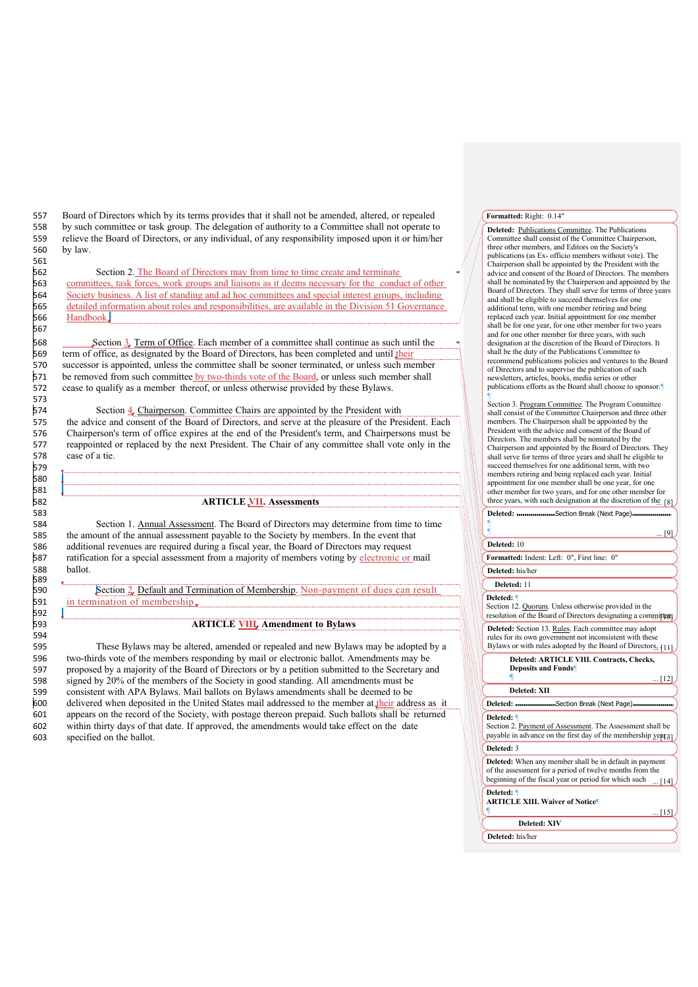557 Board of Directors which by its terms provides that it shall not be amended, altered, or repealed 558 by such committee or task group. The delegation of authority to a Committee shall not operate to relieve the Board of Directors or any individual of any responsibility imposed upon it or him/her 559 relieve the Board of Directors, or any individual, of any responsibility imposed upon it or him/her<br>560 by law. by law.

562 Section 2. The Board of Directors may from time to time create and terminate committees, task forces, work groups and liaisons as it deems necessary for the conduct of other Society business. A list of standing and ad hoc committees and special interest groups, including detailed information about roles and responsibilities, are available in the Division 51 Governance Handbook.

568 Section 3. Term of Office. Each member of a committee shall continue as such until the term of office, as designated by the Board of Directors, has been completed and until their 569 term of office, as designated by the Board of Directors, has been completed and until *their*<br>570 successor is appointed, unless the committee shall be sooner terminated, or unless such me 570 successor is appointed, unless the committee shall be sooner terminated, or unless such member<br>571 be removed from such committee by two-thirds vote of the Board, or unless such member shall be removed from such committee by two-thirds vote of the Board, or unless such member shall 572 cease to qualify as a member thereof, or unless otherwise provided by these Bylaws.

574 Section 4. Chairperson. Committee Chairs are appointed by the President with 575 the advice and consent of the Board of Directors, and serve at the pleasure of the Pres the advice and consent of the Board of Directors, and serve at the pleasure of the President. Each 576 Chairperson's term of office expires at the end of the President's term, and Chairpersons must be 577 reappointed or replaced by the next President. The Chair of any committee shall vote only in the case of a tie case of a tie.

## 582 **ARTICLE VII. Assessments**

Section 1. Annual Assessment. The Board of Directors may determine from time to time 585 the amount of the annual assessment payable to the Society by members. In the event that 586 additional revenues are required during a fiscal year, the Board of Directors may request 586 additional revenues are required during a fiscal year, the Board of Directors may request<br>587 ratification for a special assessment from a majority of members voting by electronic or 587 ratification for a special assessment from a majority of members voting by electronic or mail<br>588 ballot. ballot.

Section 2. Default and Termination of Membership. Non-payment of dues can result 591 in termination of membership.

# 593 **ARTICLE VIII. Amendment to Bylaws**

595 These Bylaws may be altered, amended or repealed and new Bylaws may be adopted by a 596 two-thirds vote of the members responding by mail or electronic ballot. Amendments may be 597 proposed by a majority of the Board of Directors or by a petition submitted to the Secretary and 598 signed by 20% of the members of the Society in good standing. All amendments must be consistent with APA Bylaws. Mail ballots on Bylaws amendments shall be deemed to be 599 consistent with APA Bylaws. Mail ballots on Bylaws amendments shall be deemed to be 600 delivered when deposited in the United States mail addressed to the member at their addr 600 delivered when deposited in the United States mail addressed to the member at their address as it  $\frac{601}{100}$  appears on the record of the Society, with postage thereon prepaid. Such ballots shall be returned appears on the record of the Society, with postage thereon prepaid. Such ballots shall be returned 602 within thirty days of that date. If approved, the amendments would take effect on the date 603 specified on the ballot.

## **Formatted:** Right: 0.14"

**Deleted: Publications Committee**. The Publications Committee shall consist of the Committee Chairperson, three other members, and Editors on the Society's publications (as Ex- officio members without vote). The  $\ell$   $\Box$  Chairperson shall be appointed by the President with the advice and consent of the Board of Directors. The members shall be nominated by the Chairperson and appointed by the Board of Directors. They shall serve for terms of three years and shall be eligible to succeed themselves for one additional term, with one member retiring and being replaced each year. Initial appointment for one member shall be for one year, for one other member for two years and for one other member for three years, with such designation at the discretion of the Board of Directors. It shall be the duty of the Publications Committee to recommend publications policies and ventures to the Board of Directors and to supervise the publication of such 851 newsletters, articles, books, media series or other publications efforts as the Board shall choose to sponsor. **853 PM** 

Section 3. Program Committee. The Program Committee shall consist of the Committee Chairperson and three other<br>members. The Chairperson shall be appointed by the **Breadent with the advice and consent of the Board of** Directors. The members shall be nominated by the Chairperson and appointed by the Board of Directors. They shall serve for terms of three years and shall be eligible to succeed themselves for one additional term, with two members retiring and being replaced each year. Initial appointment for one member shall be one year, for one other member for two years, and for one other member for three years, with such designation at the discretion of the. [8]

| $\ldots$ [9]                                                                                                                                                                         |
|--------------------------------------------------------------------------------------------------------------------------------------------------------------------------------------|
| Deleted: 10                                                                                                                                                                          |
| Formatted: Indent: Left: 0", First line: 0"                                                                                                                                          |
| Deleted: his/her                                                                                                                                                                     |
| Deleted: 11                                                                                                                                                                          |
| Deleted: 1<br>Section 12. Quorum. Unless otherwise provided in the<br>resolution of the Board of Directors designating a committeent                                                 |
| Deleted: Section 13. Rules. Each committee may adopt<br>rules for its own government not inconsistent with these<br>Bylaws or with rules adopted by the Board of Directors, [11]     |
| Deleted: ARTICLE VIII. Contracts, Checks,<br><b>Deposits and Funds</b><br>[12]                                                                                                       |
| Deleted: XII                                                                                                                                                                         |
| Deleted: www.www.www.Section Break (Next Page) www.www.www.ww                                                                                                                        |
| Deleted: 1<br>Section 2. Payment of Assessment. The Assessment shall be<br>payable in advance on the first day of the membership year <sub>31</sub>                                  |
| Deleted: 3                                                                                                                                                                           |
| Deleted: When any member shall be in default in payment<br>of the assessment for a period of twelve months from the<br>beginning of the fiscal year or period for which such<br>[14] |
| Deleted: 1<br><b>ARTICLE XIII. Waiver of Notice</b>                                                                                                                                  |
| $\lfloor 15 \rfloor$                                                                                                                                                                 |
| <b>Deleted: XIV</b>                                                                                                                                                                  |
| Deleted: his/her                                                                                                                                                                     |